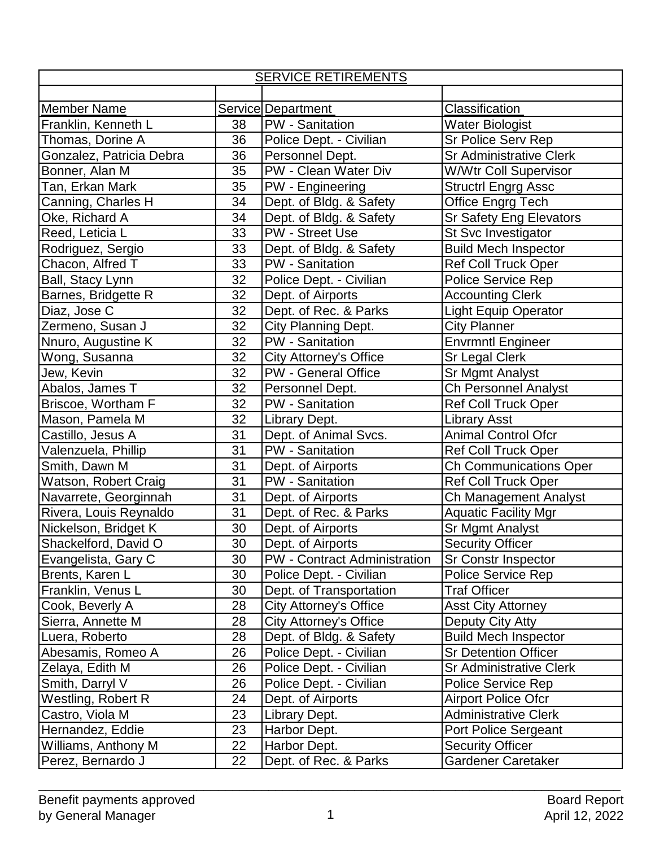| <b>SERVICE RETIREMENTS</b> |    |                                     |                                |  |  |
|----------------------------|----|-------------------------------------|--------------------------------|--|--|
|                            |    |                                     |                                |  |  |
| Member Name                |    | <b>Service Department</b>           | Classification                 |  |  |
| Franklin, Kenneth L        | 38 | PW - Sanitation                     | <b>Water Biologist</b>         |  |  |
| Thomas, Dorine A           | 36 | Police Dept. - Civilian             | Sr Police Serv Rep             |  |  |
| Gonzalez, Patricia Debra   | 36 | Personnel Dept.                     | <b>Sr Administrative Clerk</b> |  |  |
| Bonner, Alan M             | 35 | PW - Clean Water Div                | <b>W/Wtr Coll Supervisor</b>   |  |  |
| Tan, Erkan Mark            | 35 | PW - Engineering                    | <b>Structrl Engrg Assc</b>     |  |  |
| Canning, Charles H         | 34 | Dept. of Bldg. & Safety             | Office Engrg Tech              |  |  |
| Oke, Richard A             | 34 | Dept. of Bldg. & Safety             | <b>Sr Safety Eng Elevators</b> |  |  |
| Reed, Leticia L            | 33 | PW - Street Use                     | St Svc Investigator            |  |  |
| Rodriguez, Sergio          | 33 | Dept. of Bldg. & Safety             | <b>Build Mech Inspector</b>    |  |  |
| Chacon, Alfred T           | 33 | PW - Sanitation                     | <b>Ref Coll Truck Oper</b>     |  |  |
| Ball, Stacy Lynn           | 32 | Police Dept. - Civilian             | <b>Police Service Rep</b>      |  |  |
| Barnes, Bridgette R        | 32 | Dept. of Airports                   | <b>Accounting Clerk</b>        |  |  |
| Diaz, Jose C               | 32 | Dept. of Rec. & Parks               | <b>Light Equip Operator</b>    |  |  |
| Zermeno, Susan J           | 32 | <b>City Planning Dept.</b>          | <b>City Planner</b>            |  |  |
| Nnuro, Augustine K         | 32 | PW - Sanitation                     | <b>Envrmntl Engineer</b>       |  |  |
| Wong, Susanna              | 32 | <b>City Attorney's Office</b>       | <b>Sr Legal Clerk</b>          |  |  |
| Jew, Kevin                 | 32 | <b>PW</b> - General Office          | Sr Mgmt Analyst                |  |  |
| Abalos, James T            | 32 | Personnel Dept.                     | <b>Ch Personnel Analyst</b>    |  |  |
| Briscoe, Wortham F         | 32 | PW - Sanitation                     | <b>Ref Coll Truck Oper</b>     |  |  |
| Mason, Pamela M            | 32 | Library Dept.                       | <b>Library Asst</b>            |  |  |
| Castillo, Jesus A          | 31 | Dept. of Animal Svcs.               | <b>Animal Control Ofcr</b>     |  |  |
| Valenzuela, Phillip        | 31 | PW - Sanitation                     | <b>Ref Coll Truck Oper</b>     |  |  |
| Smith, Dawn M              | 31 | Dept. of Airports                   | <b>Ch Communications Oper</b>  |  |  |
| Watson, Robert Craig       | 31 | PW - Sanitation                     | <b>Ref Coll Truck Oper</b>     |  |  |
| Navarrete, Georginnah      | 31 | Dept. of Airports                   | Ch Management Analyst          |  |  |
| Rivera, Louis Reynaldo     | 31 | Dept. of Rec. & Parks               | <b>Aquatic Facility Mgr</b>    |  |  |
| Nickelson, Bridget K       | 30 | Dept. of Airports                   | Sr Mgmt Analyst                |  |  |
| Shackelford, David O       | 30 | Dept. of Airports                   | <b>Security Officer</b>        |  |  |
| Evangelista, Gary C        | 30 | <b>PW</b> - Contract Administration | Sr Constr Inspector            |  |  |
| Brents, Karen L            | 30 | Police Dept. - Civilian             | Police Service Rep             |  |  |
| Franklin, Venus L          | 30 | Dept. of Transportation             | <b>Traf Officer</b>            |  |  |
| Cook, Beverly A            | 28 | City Attorney's Office              | <b>Asst City Attorney</b>      |  |  |
| Sierra, Annette M          | 28 | <b>City Attorney's Office</b>       | Deputy City Atty               |  |  |
| Luera, Roberto             | 28 | Dept. of Bldg. & Safety             | <b>Build Mech Inspector</b>    |  |  |
| Abesamis, Romeo A          | 26 | Police Dept. - Civilian             | <b>Sr Detention Officer</b>    |  |  |
| Zelaya, Edith M            | 26 | Police Dept. - Civilian             | <b>Sr Administrative Clerk</b> |  |  |
| Smith, Darryl V            | 26 | Police Dept. - Civilian             | <b>Police Service Rep</b>      |  |  |
| Westling, Robert R         | 24 | Dept. of Airports                   | <b>Airport Police Ofcr</b>     |  |  |
| Castro, Viola M            | 23 | Library Dept.                       | <b>Administrative Clerk</b>    |  |  |
| Hernandez, Eddie           | 23 | Harbor Dept.                        | Port Police Sergeant           |  |  |
| Williams, Anthony M        | 22 | Harbor Dept.                        | <b>Security Officer</b>        |  |  |
| Perez, Bernardo J          | 22 | Dept. of Rec. & Parks               | Gardener Caretaker             |  |  |

\_\_\_\_\_\_\_\_\_\_\_\_\_\_\_\_\_\_\_\_\_\_\_\_\_\_\_\_\_\_\_\_\_\_\_\_\_\_\_\_\_\_\_\_\_\_\_\_\_\_\_\_\_\_\_\_\_\_\_\_\_\_\_\_\_\_\_\_\_\_\_\_\_\_\_\_\_\_\_\_\_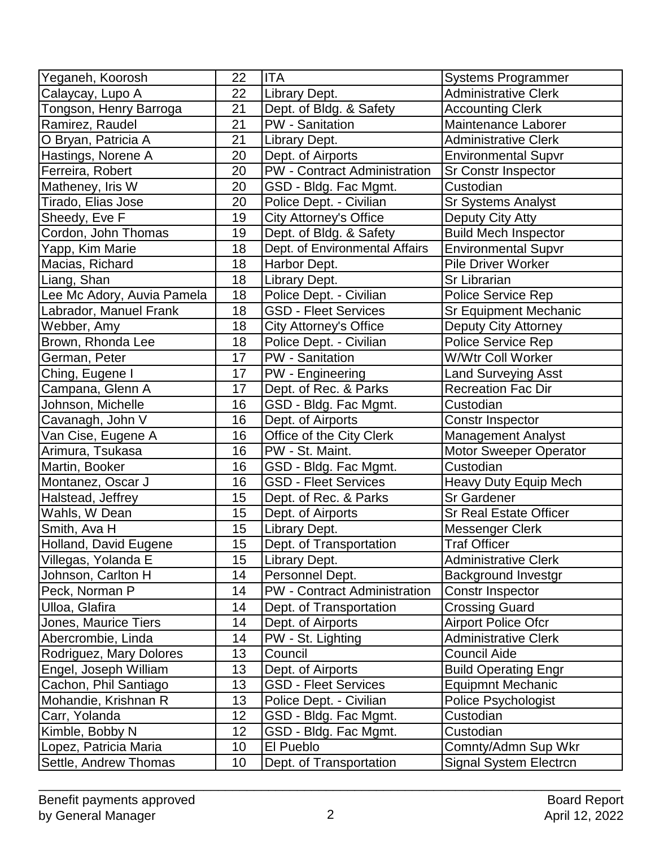| Yeganeh, Koorosh           | 22 | <b>ITA</b>                          | <b>Systems Programmer</b>     |
|----------------------------|----|-------------------------------------|-------------------------------|
| Calaycay, Lupo A           | 22 | Library Dept.                       | <b>Administrative Clerk</b>   |
| Tongson, Henry Barroga     | 21 | Dept. of Bldg. & Safety             | <b>Accounting Clerk</b>       |
| Ramirez, Raudel            | 21 | PW - Sanitation                     | Maintenance Laborer           |
| O Bryan, Patricia A        | 21 | Library Dept.                       | <b>Administrative Clerk</b>   |
| Hastings, Norene A         | 20 | Dept. of Airports                   | <b>Environmental Supvr</b>    |
| Ferreira, Robert           | 20 | <b>PW</b> - Contract Administration | <b>Sr Constr Inspector</b>    |
| Matheney, Iris W           | 20 | GSD - Bldg. Fac Mgmt.               | Custodian                     |
| Tirado, Elias Jose         | 20 | Police Dept. - Civilian             | Sr Systems Analyst            |
| Sheedy, Eve F              | 19 | <b>City Attorney's Office</b>       | Deputy City Atty              |
| Cordon, John Thomas        | 19 | Dept. of Bldg. & Safety             | <b>Build Mech Inspector</b>   |
| Yapp, Kim Marie            | 18 | Dept. of Environmental Affairs      | <b>Environmental Supvr</b>    |
| Macias, Richard            | 18 | Harbor Dept.                        | <b>Pile Driver Worker</b>     |
| Liang, Shan                | 18 | Library Dept.                       | <b>Sr Librarian</b>           |
| Lee Mc Adory, Auvia Pamela | 18 | Police Dept. - Civilian             | Police Service Rep            |
| Labrador, Manuel Frank     | 18 | <b>GSD - Fleet Services</b>         | <b>Sr Equipment Mechanic</b>  |
| Webber, Amy                | 18 | <b>City Attorney's Office</b>       | Deputy City Attorney          |
| Brown, Rhonda Lee          | 18 | Police Dept. - Civilian             | <b>Police Service Rep</b>     |
| German, Peter              | 17 | <b>PW</b> - Sanitation              | W/Wtr Coll Worker             |
| Ching, Eugene I            | 17 | PW - Engineering                    | <b>Land Surveying Asst</b>    |
| Campana, Glenn A           | 17 | Dept. of Rec. & Parks               | <b>Recreation Fac Dir</b>     |
| Johnson, Michelle          | 16 | GSD - Bldg. Fac Mgmt.               | Custodian                     |
| Cavanagh, John V           | 16 | Dept. of Airports                   | Constr Inspector              |
| Van Cise, Eugene A         | 16 | Office of the City Clerk            | <b>Management Analyst</b>     |
| Arimura, Tsukasa           | 16 | PW - St. Maint.                     | <b>Motor Sweeper Operator</b> |
| Martin, Booker             | 16 | GSD - Bldg. Fac Mgmt.               | Custodian                     |
| Montanez, Oscar J          | 16 | <b>GSD - Fleet Services</b>         | <b>Heavy Duty Equip Mech</b>  |
| Halstead, Jeffrey          | 15 | Dept. of Rec. & Parks               | <b>Sr Gardener</b>            |
| Wahls, W Dean              | 15 | Dept. of Airports                   | <b>Sr Real Estate Officer</b> |
| Smith, Ava H               | 15 | Library Dept.                       | Messenger Clerk               |
| Holland, David Eugene      | 15 | Dept. of Transportation             | <b>Traf Officer</b>           |
| Villegas, Yolanda E        | 15 | Library Dept.                       | <b>Administrative Clerk</b>   |
| Johnson, Carlton H         | 14 | Personnel Dept.                     | <b>Background Investgr</b>    |
| Peck, Norman P             | 14 | <b>PW</b> - Contract Administration | Constr Inspector              |
| Ulloa, Glafira             | 14 | Dept. of Transportation             | <b>Crossing Guard</b>         |
| Jones, Maurice Tiers       | 14 | Dept. of Airports                   | <b>Airport Police Ofcr</b>    |
| Abercrombie, Linda         | 14 | PW - St. Lighting                   | <b>Administrative Clerk</b>   |
| Rodriguez, Mary Dolores    | 13 | Council                             | <b>Council Aide</b>           |
| Engel, Joseph William      | 13 | Dept. of Airports                   | <b>Build Operating Engr</b>   |
| Cachon, Phil Santiago      | 13 | <b>GSD - Fleet Services</b>         | <b>Equipmnt Mechanic</b>      |
| Mohandie, Krishnan R       | 13 | Police Dept. - Civilian             | Police Psychologist           |
| Carr, Yolanda              | 12 | GSD - Bldg. Fac Mgmt.               | Custodian                     |
| Kimble, Bobby N            | 12 | GSD - Bldg. Fac Mgmt.               | Custodian                     |
| Lopez, Patricia Maria      | 10 | El Pueblo                           | Comnty/Admn Sup Wkr           |
| Settle, Andrew Thomas      | 10 | Dept. of Transportation             | Signal System Electrcn        |

\_\_\_\_\_\_\_\_\_\_\_\_\_\_\_\_\_\_\_\_\_\_\_\_\_\_\_\_\_\_\_\_\_\_\_\_\_\_\_\_\_\_\_\_\_\_\_\_\_\_\_\_\_\_\_\_\_\_\_\_\_\_\_\_\_\_\_\_\_\_\_\_\_\_\_\_\_\_\_\_\_